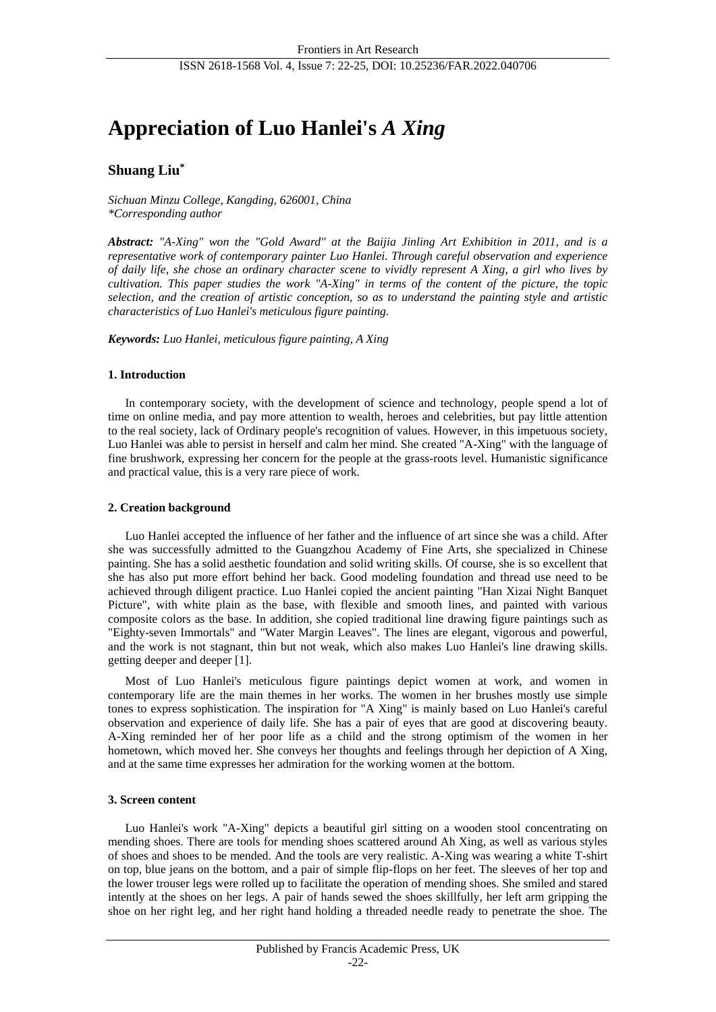## ISSN 2618-1568 Vol. 4, Issue 7: 22-25, DOI: 10.25236/FAR.2022.040706

# **Appreciation of Luo Hanlei's** *A Xing*

## **Shuang Liu\***

*Sichuan Minzu College, Kangding, 626001, China \*Corresponding author*

*Abstract: "A-Xing" won the "Gold Award" at the Baijia Jinling Art Exhibition in 2011, and is a representative work of contemporary painter Luo Hanlei. Through careful observation and experience of daily life, she chose an ordinary character scene to vividly represent A Xing, a girl who lives by cultivation. This paper studies the work "A-Xing" in terms of the content of the picture, the topic selection, and the creation of artistic conception, so as to understand the painting style and artistic characteristics of Luo Hanlei's meticulous figure painting.*

*Keywords: Luo Hanlei, meticulous figure painting, A Xing*

## **1. Introduction**

In contemporary society, with the development of science and technology, people spend a lot of time on online media, and pay more attention to wealth, heroes and celebrities, but pay little attention to the real society, lack of Ordinary people's recognition of values. However, in this impetuous society, Luo Hanlei was able to persist in herself and calm her mind. She created "A-Xing" with the language of fine brushwork, expressing her concern for the people at the grass-roots level. Humanistic significance and practical value, this is a very rare piece of work.

#### **2. Creation background**

Luo Hanlei accepted the influence of her father and the influence of art since she was a child. After she was successfully admitted to the Guangzhou Academy of Fine Arts, she specialized in Chinese painting. She has a solid aesthetic foundation and solid writing skills. Of course, she is so excellent that she has also put more effort behind her back. Good modeling foundation and thread use need to be achieved through diligent practice. Luo Hanlei copied the ancient painting "Han Xizai Night Banquet Picture", with white plain as the base, with flexible and smooth lines, and painted with various composite colors as the base. In addition, she copied traditional line drawing figure paintings such as "Eighty-seven Immortals" and "Water Margin Leaves". The lines are elegant, vigorous and powerful, and the work is not stagnant, thin but not weak, which also makes Luo Hanlei's line drawing skills. getting deeper and deeper [1].

Most of Luo Hanlei's meticulous figure paintings depict women at work, and women in contemporary life are the main themes in her works. The women in her brushes mostly use simple tones to express sophistication. The inspiration for "A Xing" is mainly based on Luo Hanlei's careful observation and experience of daily life. She has a pair of eyes that are good at discovering beauty. A-Xing reminded her of her poor life as a child and the strong optimism of the women in her hometown, which moved her. She conveys her thoughts and feelings through her depiction of A Xing, and at the same time expresses her admiration for the working women at the bottom.

## **3. Screen content**

Luo Hanlei's work "A-Xing" depicts a beautiful girl sitting on a wooden stool concentrating on mending shoes. There are tools for mending shoes scattered around Ah Xing, as well as various styles of shoes and shoes to be mended. And the tools are very realistic. A-Xing was wearing a white T-shirt on top, blue jeans on the bottom, and a pair of simple flip-flops on her feet. The sleeves of her top and the lower trouser legs were rolled up to facilitate the operation of mending shoes. She smiled and stared intently at the shoes on her legs. A pair of hands sewed the shoes skillfully, her left arm gripping the shoe on her right leg, and her right hand holding a threaded needle ready to penetrate the shoe. The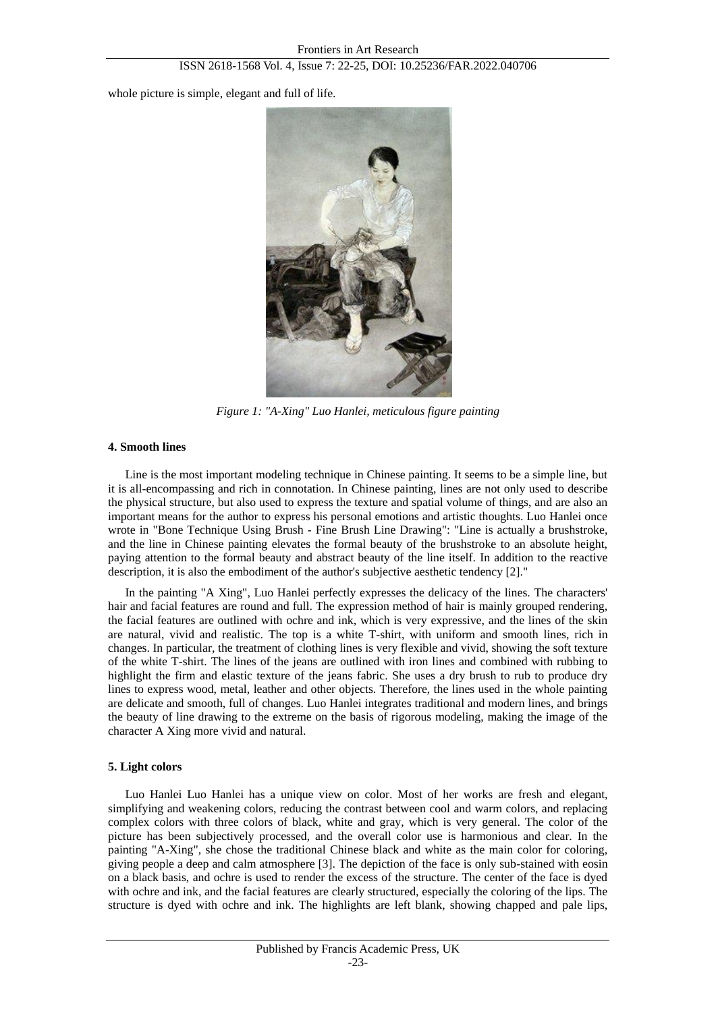whole picture is simple, elegant and full of life.



*Figure 1: "A-Xing" Luo Hanlei, meticulous figure painting*

## **4. Smooth lines**

Line is the most important modeling technique in Chinese painting. It seems to be a simple line, but it is all-encompassing and rich in connotation. In Chinese painting, lines are not only used to describe the physical structure, but also used to express the texture and spatial volume of things, and are also an important means for the author to express his personal emotions and artistic thoughts. Luo Hanlei once wrote in "Bone Technique Using Brush - Fine Brush Line Drawing": "Line is actually a brushstroke, and the line in Chinese painting elevates the formal beauty of the brushstroke to an absolute height, paying attention to the formal beauty and abstract beauty of the line itself. In addition to the reactive description, it is also the embodiment of the author's subjective aesthetic tendency [2]."

In the painting "A Xing", Luo Hanlei perfectly expresses the delicacy of the lines. The characters' hair and facial features are round and full. The expression method of hair is mainly grouped rendering, the facial features are outlined with ochre and ink, which is very expressive, and the lines of the skin are natural, vivid and realistic. The top is a white T-shirt, with uniform and smooth lines, rich in changes. In particular, the treatment of clothing lines is very flexible and vivid, showing the soft texture of the white T-shirt. The lines of the jeans are outlined with iron lines and combined with rubbing to highlight the firm and elastic texture of the jeans fabric. She uses a dry brush to rub to produce dry lines to express wood, metal, leather and other objects. Therefore, the lines used in the whole painting are delicate and smooth, full of changes. Luo Hanlei integrates traditional and modern lines, and brings the beauty of line drawing to the extreme on the basis of rigorous modeling, making the image of the character A Xing more vivid and natural.

## **5. Light colors**

Luo Hanlei Luo Hanlei has a unique view on color. Most of her works are fresh and elegant, simplifying and weakening colors, reducing the contrast between cool and warm colors, and replacing complex colors with three colors of black, white and gray, which is very general. The color of the picture has been subjectively processed, and the overall color use is harmonious and clear. In the painting "A-Xing", she chose the traditional Chinese black and white as the main color for coloring, giving people a deep and calm atmosphere [3]. The depiction of the face is only sub-stained with eosin on a black basis, and ochre is used to render the excess of the structure. The center of the face is dyed with ochre and ink, and the facial features are clearly structured, especially the coloring of the lips. The structure is dyed with ochre and ink. The highlights are left blank, showing chapped and pale lips,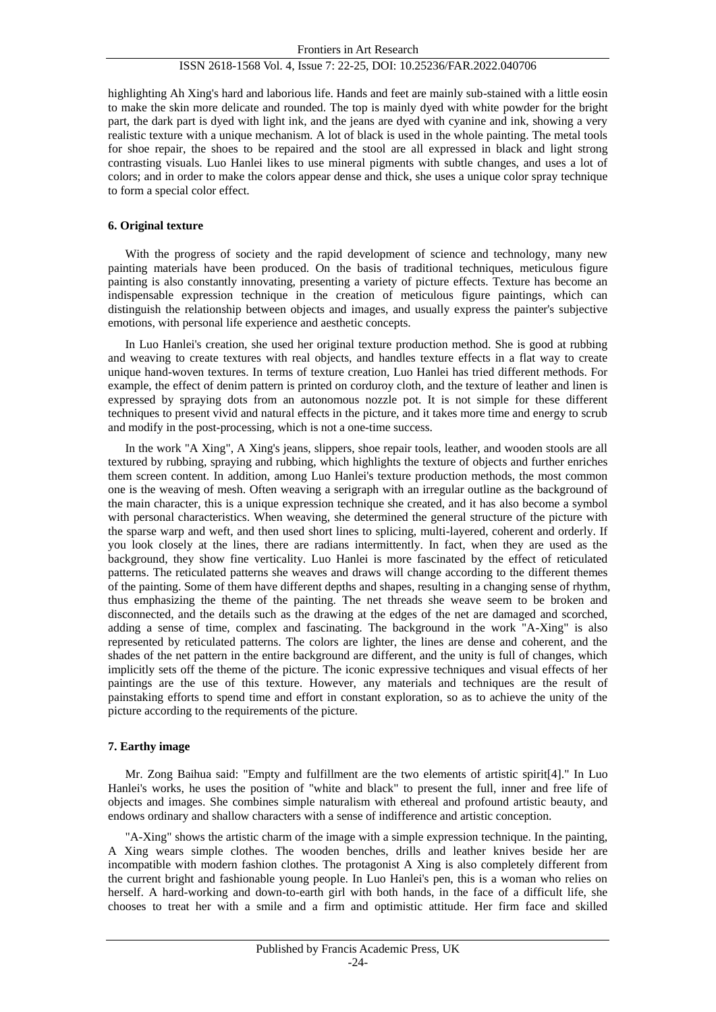## ISSN 2618-1568 Vol. 4, Issue 7: 22-25, DOI: 10.25236/FAR.2022.040706

highlighting Ah Xing's hard and laborious life. Hands and feet are mainly sub-stained with a little eosin to make the skin more delicate and rounded. The top is mainly dyed with white powder for the bright part, the dark part is dyed with light ink, and the jeans are dyed with cyanine and ink, showing a very realistic texture with a unique mechanism. A lot of black is used in the whole painting. The metal tools for shoe repair, the shoes to be repaired and the stool are all expressed in black and light strong contrasting visuals. Luo Hanlei likes to use mineral pigments with subtle changes, and uses a lot of colors; and in order to make the colors appear dense and thick, she uses a unique color spray technique to form a special color effect.

## **6. Original texture**

With the progress of society and the rapid development of science and technology, many new painting materials have been produced. On the basis of traditional techniques, meticulous figure painting is also constantly innovating, presenting a variety of picture effects. Texture has become an indispensable expression technique in the creation of meticulous figure paintings, which can distinguish the relationship between objects and images, and usually express the painter's subjective emotions, with personal life experience and aesthetic concepts.

In Luo Hanlei's creation, she used her original texture production method. She is good at rubbing and weaving to create textures with real objects, and handles texture effects in a flat way to create unique hand-woven textures. In terms of texture creation, Luo Hanlei has tried different methods. For example, the effect of denim pattern is printed on corduroy cloth, and the texture of leather and linen is expressed by spraying dots from an autonomous nozzle pot. It is not simple for these different techniques to present vivid and natural effects in the picture, and it takes more time and energy to scrub and modify in the post-processing, which is not a one-time success.

In the work "A Xing", A Xing's jeans, slippers, shoe repair tools, leather, and wooden stools are all textured by rubbing, spraying and rubbing, which highlights the texture of objects and further enriches them screen content. In addition, among Luo Hanlei's texture production methods, the most common one is the weaving of mesh. Often weaving a serigraph with an irregular outline as the background of the main character, this is a unique expression technique she created, and it has also become a symbol with personal characteristics. When weaving, she determined the general structure of the picture with the sparse warp and weft, and then used short lines to splicing, multi-layered, coherent and orderly. If you look closely at the lines, there are radians intermittently. In fact, when they are used as the background, they show fine verticality. Luo Hanlei is more fascinated by the effect of reticulated patterns. The reticulated patterns she weaves and draws will change according to the different themes of the painting. Some of them have different depths and shapes, resulting in a changing sense of rhythm, thus emphasizing the theme of the painting. The net threads she weave seem to be broken and disconnected, and the details such as the drawing at the edges of the net are damaged and scorched, adding a sense of time, complex and fascinating. The background in the work "A-Xing" is also represented by reticulated patterns. The colors are lighter, the lines are dense and coherent, and the shades of the net pattern in the entire background are different, and the unity is full of changes, which implicitly sets off the theme of the picture. The iconic expressive techniques and visual effects of her paintings are the use of this texture. However, any materials and techniques are the result of painstaking efforts to spend time and effort in constant exploration, so as to achieve the unity of the picture according to the requirements of the picture.

## **7. Earthy image**

Mr. Zong Baihua said: "Empty and fulfillment are the two elements of artistic spirit[4]." In Luo Hanlei's works, he uses the position of "white and black" to present the full, inner and free life of objects and images. She combines simple naturalism with ethereal and profound artistic beauty, and endows ordinary and shallow characters with a sense of indifference and artistic conception.

"A-Xing" shows the artistic charm of the image with a simple expression technique. In the painting, A Xing wears simple clothes. The wooden benches, drills and leather knives beside her are incompatible with modern fashion clothes. The protagonist A Xing is also completely different from the current bright and fashionable young people. In Luo Hanlei's pen, this is a woman who relies on herself. A hard-working and down-to-earth girl with both hands, in the face of a difficult life, she chooses to treat her with a smile and a firm and optimistic attitude. Her firm face and skilled